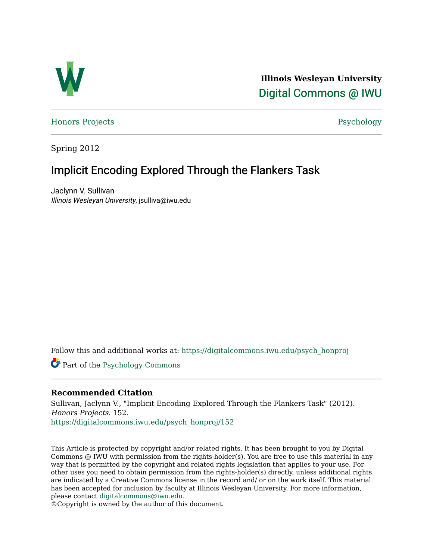

**Illinois Wesleyan University**  [Digital Commons @ IWU](https://digitalcommons.iwu.edu/) 

[Honors Projects](https://digitalcommons.iwu.edu/psych_honproj) **Provides** Psychology

Spring 2012

# Implicit Encoding Explored Through the Flankers Task

Jaclynn V. Sullivan Illinois Wesleyan University, jsulliva@iwu.edu

Follow this and additional works at: [https://digitalcommons.iwu.edu/psych\\_honproj](https://digitalcommons.iwu.edu/psych_honproj?utm_source=digitalcommons.iwu.edu%2Fpsych_honproj%2F152&utm_medium=PDF&utm_campaign=PDFCoverPages) 

Part of the [Psychology Commons](http://network.bepress.com/hgg/discipline/404?utm_source=digitalcommons.iwu.edu%2Fpsych_honproj%2F152&utm_medium=PDF&utm_campaign=PDFCoverPages)

## **Recommended Citation**

Sullivan, Jaclynn V., "Implicit Encoding Explored Through the Flankers Task" (2012). Honors Projects. 152. [https://digitalcommons.iwu.edu/psych\\_honproj/152](https://digitalcommons.iwu.edu/psych_honproj/152?utm_source=digitalcommons.iwu.edu%2Fpsych_honproj%2F152&utm_medium=PDF&utm_campaign=PDFCoverPages)

This Article is protected by copyright and/or related rights. It has been brought to you by Digital Commons @ IWU with permission from the rights-holder(s). You are free to use this material in any way that is permitted by the copyright and related rights legislation that applies to your use. For other uses you need to obtain permission from the rights-holder(s) directly, unless additional rights are indicated by a Creative Commons license in the record and/ or on the work itself. This material has been accepted for inclusion by faculty at Illinois Wesleyan University. For more information, please contact [digitalcommons@iwu.edu.](mailto:digitalcommons@iwu.edu)

©Copyright is owned by the author of this document.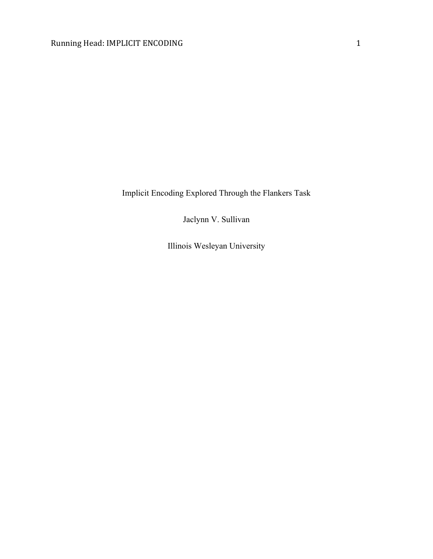Implicit Encoding Explored Through the Flankers Task

Jaclynn V. Sullivan

Illinois Wesleyan University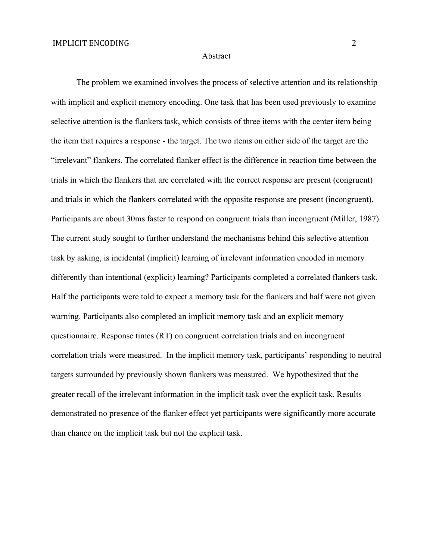#### Abstract

The problem we examined involves the process of selective attention and its relationship with implicit and explicit memory encoding. One task that has been used previously to examine selective attention is the flankers task, which consists of three items with the center item being the item that requires a response - the target. The two items on either side of the target are the "irrelevant" flankers. The correlated flanker effect is the difference in reaction time between the trials in which the flankers that are correlated with the correct response are present (congruent) and trials in which the flankers correlated with the opposite response are present (incongruent). Participants are about 30ms faster to respond on congruent trials than incongruent (Miller, 1987). The current study sought to further understand the mechanisms behind this selective attention task by asking, is incidental (implicit) learning of irrelevant information encoded in memory differently than intentional (explicit) learning? Participants completed a correlated flankers task. Half the participants were told to expect a memory task for the flankers and half were not given warning. Participants also completed an implicit memory task and an explicit memory questionnaire. Response times (RT) on congruent correlation trials and on incongruent correlation trials were measured. In the implicit memory task, participants' responding to neutral targets surrounded by previously shown flankers was measured. We hypothesized that the greater recall of the irrelevant information in the implicit task over the explicit task. Results demonstrated no presence of the flanker effect yet participants were significantly more accurate than chance on the implicit task but not the explicit task.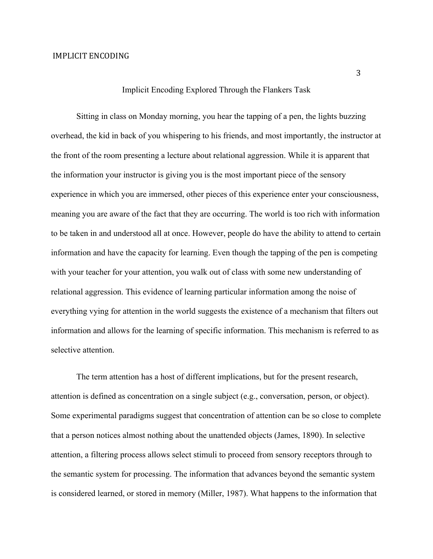## Implicit Encoding Explored Through the Flankers Task

Sitting in class on Monday morning, you hear the tapping of a pen, the lights buzzing overhead, the kid in back of you whispering to his friends, and most importantly, the instructor at the front of the room presenting a lecture about relational aggression. While it is apparent that the information your instructor is giving you is the most important piece of the sensory experience in which you are immersed, other pieces of this experience enter your consciousness, meaning you are aware of the fact that they are occurring. The world is too rich with information to be taken in and understood all at once. However, people do have the ability to attend to certain information and have the capacity for learning. Even though the tapping of the pen is competing with your teacher for your attention, you walk out of class with some new understanding of relational aggression. This evidence of learning particular information among the noise of everything vying for attention in the world suggests the existence of a mechanism that filters out information and allows for the learning of specific information. This mechanism is referred to as selective attention.

The term attention has a host of different implications, but for the present research, attention is defined as concentration on a single subject (e.g., conversation, person, or object). Some experimental paradigms suggest that concentration of attention can be so close to complete that a person notices almost nothing about the unattended objects (James, 1890). In selective attention, a filtering process allows select stimuli to proceed from sensory receptors through to the semantic system for processing. The information that advances beyond the semantic system is considered learned, or stored in memory (Miller, 1987). What happens to the information that

3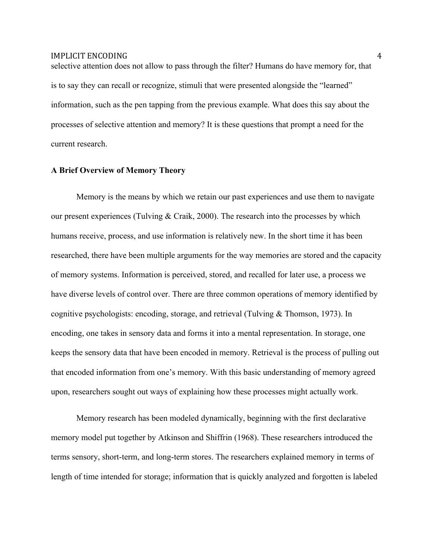selective attention does not allow to pass through the filter? Humans do have memory for, that is to say they can recall or recognize, stimuli that were presented alongside the "learned" information, such as the pen tapping from the previous example. What does this say about the processes of selective attention and memory? It is these questions that prompt a need for the current research.

#### **A Brief Overview of Memory Theory**

Memory is the means by which we retain our past experiences and use them to navigate our present experiences (Tulving & Craik, 2000). The research into the processes by which humans receive, process, and use information is relatively new. In the short time it has been researched, there have been multiple arguments for the way memories are stored and the capacity of memory systems. Information is perceived, stored, and recalled for later use, a process we have diverse levels of control over. There are three common operations of memory identified by cognitive psychologists: encoding, storage, and retrieval (Tulving & Thomson, 1973). In encoding, one takes in sensory data and forms it into a mental representation. In storage, one keeps the sensory data that have been encoded in memory. Retrieval is the process of pulling out that encoded information from one's memory. With this basic understanding of memory agreed upon, researchers sought out ways of explaining how these processes might actually work.

Memory research has been modeled dynamically, beginning with the first declarative memory model put together by Atkinson and Shiffrin (1968). These researchers introduced the terms sensory, short-term, and long-term stores. The researchers explained memory in terms of length of time intended for storage; information that is quickly analyzed and forgotten is labeled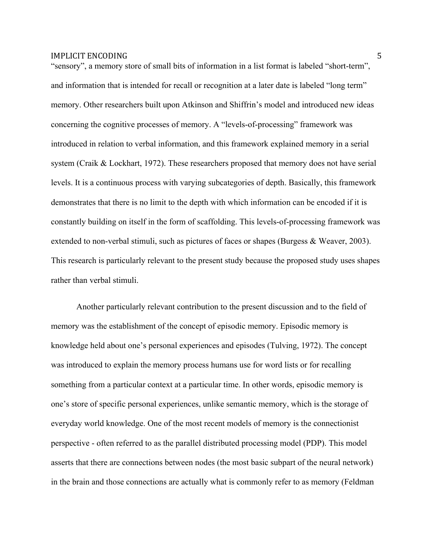"sensory", a memory store of small bits of information in a list format is labeled "short-term", and information that is intended for recall or recognition at a later date is labeled "long term" memory. Other researchers built upon Atkinson and Shiffrin's model and introduced new ideas concerning the cognitive processes of memory. A "levels-of-processing" framework was introduced in relation to verbal information, and this framework explained memory in a serial system (Craik & Lockhart, 1972). These researchers proposed that memory does not have serial levels. It is a continuous process with varying subcategories of depth. Basically, this framework demonstrates that there is no limit to the depth with which information can be encoded if it is constantly building on itself in the form of scaffolding. This levels-of-processing framework was extended to non-verbal stimuli, such as pictures of faces or shapes (Burgess & Weaver, 2003). This research is particularly relevant to the present study because the proposed study uses shapes rather than verbal stimuli.

Another particularly relevant contribution to the present discussion and to the field of memory was the establishment of the concept of episodic memory. Episodic memory is knowledge held about one's personal experiences and episodes (Tulving, 1972). The concept was introduced to explain the memory process humans use for word lists or for recalling something from a particular context at a particular time. In other words, episodic memory is one's store of specific personal experiences, unlike semantic memory, which is the storage of everyday world knowledge. One of the most recent models of memory is the connectionist perspective - often referred to as the parallel distributed processing model (PDP). This model asserts that there are connections between nodes (the most basic subpart of the neural network) in the brain and those connections are actually what is commonly refer to as memory (Feldman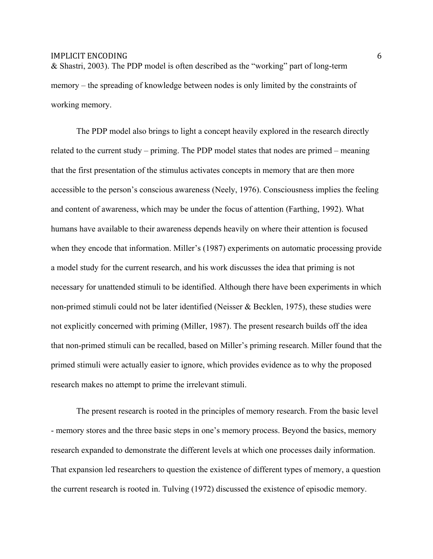& Shastri, 2003). The PDP model is often described as the "working" part of long-term memory – the spreading of knowledge between nodes is only limited by the constraints of working memory.

The PDP model also brings to light a concept heavily explored in the research directly related to the current study – priming. The PDP model states that nodes are primed – meaning that the first presentation of the stimulus activates concepts in memory that are then more accessible to the person's conscious awareness (Neely, 1976). Consciousness implies the feeling and content of awareness, which may be under the focus of attention (Farthing, 1992). What humans have available to their awareness depends heavily on where their attention is focused when they encode that information. Miller's (1987) experiments on automatic processing provide a model study for the current research, and his work discusses the idea that priming is not necessary for unattended stimuli to be identified. Although there have been experiments in which non-primed stimuli could not be later identified (Neisser & Becklen, 1975), these studies were not explicitly concerned with priming (Miller, 1987). The present research builds off the idea that non-primed stimuli can be recalled, based on Miller's priming research. Miller found that the primed stimuli were actually easier to ignore, which provides evidence as to why the proposed research makes no attempt to prime the irrelevant stimuli.

The present research is rooted in the principles of memory research. From the basic level - memory stores and the three basic steps in one's memory process. Beyond the basics, memory research expanded to demonstrate the different levels at which one processes daily information. That expansion led researchers to question the existence of different types of memory, a question the current research is rooted in. Tulving (1972) discussed the existence of episodic memory.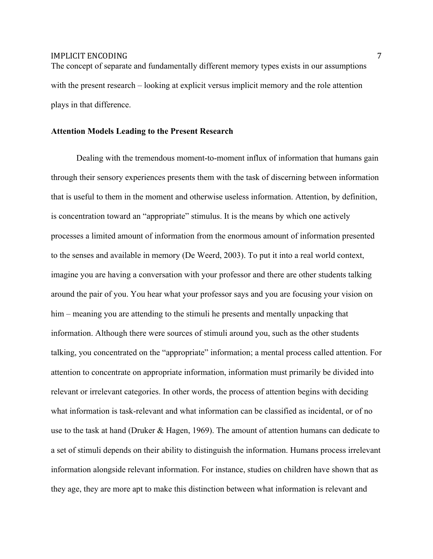The concept of separate and fundamentally different memory types exists in our assumptions with the present research – looking at explicit versus implicit memory and the role attention plays in that difference.

#### **Attention Models Leading to the Present Research**

Dealing with the tremendous moment-to-moment influx of information that humans gain through their sensory experiences presents them with the task of discerning between information that is useful to them in the moment and otherwise useless information. Attention, by definition, is concentration toward an "appropriate" stimulus. It is the means by which one actively processes a limited amount of information from the enormous amount of information presented to the senses and available in memory (De Weerd, 2003). To put it into a real world context, imagine you are having a conversation with your professor and there are other students talking around the pair of you. You hear what your professor says and you are focusing your vision on him – meaning you are attending to the stimuli he presents and mentally unpacking that information. Although there were sources of stimuli around you, such as the other students talking, you concentrated on the "appropriate" information; a mental process called attention. For attention to concentrate on appropriate information, information must primarily be divided into relevant or irrelevant categories. In other words, the process of attention begins with deciding what information is task-relevant and what information can be classified as incidental, or of no use to the task at hand (Druker & Hagen, 1969). The amount of attention humans can dedicate to a set of stimuli depends on their ability to distinguish the information. Humans process irrelevant information alongside relevant information. For instance, studies on children have shown that as they age, they are more apt to make this distinction between what information is relevant and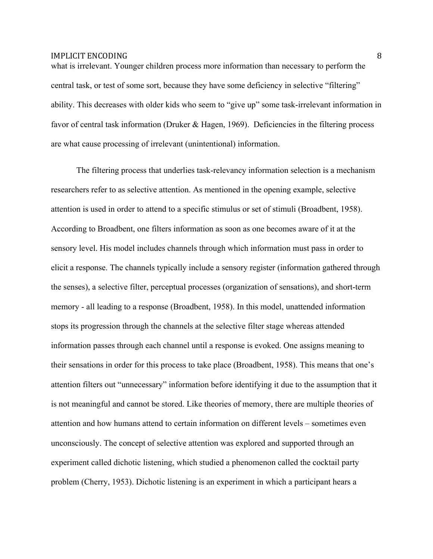what is irrelevant. Younger children process more information than necessary to perform the central task, or test of some sort, because they have some deficiency in selective "filtering" ability. This decreases with older kids who seem to "give up" some task-irrelevant information in favor of central task information (Druker & Hagen, 1969). Deficiencies in the filtering process are what cause processing of irrelevant (unintentional) information.

The filtering process that underlies task-relevancy information selection is a mechanism researchers refer to as selective attention. As mentioned in the opening example, selective attention is used in order to attend to a specific stimulus or set of stimuli (Broadbent, 1958). According to Broadbent, one filters information as soon as one becomes aware of it at the sensory level. His model includes channels through which information must pass in order to elicit a response. The channels typically include a sensory register (information gathered through the senses), a selective filter, perceptual processes (organization of sensations), and short-term memory - all leading to a response (Broadbent, 1958). In this model, unattended information stops its progression through the channels at the selective filter stage whereas attended information passes through each channel until a response is evoked. One assigns meaning to their sensations in order for this process to take place (Broadbent, 1958). This means that one's attention filters out "unnecessary" information before identifying it due to the assumption that it is not meaningful and cannot be stored. Like theories of memory, there are multiple theories of attention and how humans attend to certain information on different levels – sometimes even unconsciously. The concept of selective attention was explored and supported through an experiment called dichotic listening, which studied a phenomenon called the cocktail party problem (Cherry, 1953). Dichotic listening is an experiment in which a participant hears a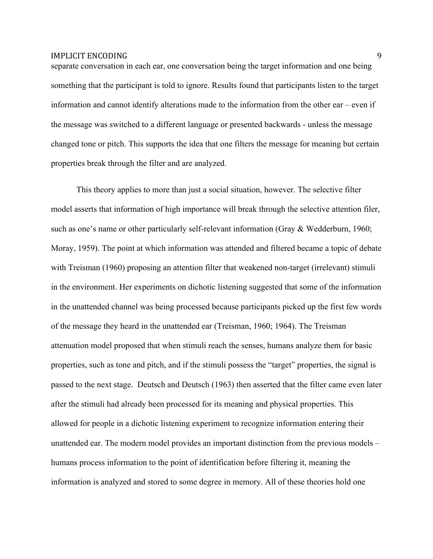separate conversation in each ear, one conversation being the target information and one being something that the participant is told to ignore. Results found that participants listen to the target information and cannot identify alterations made to the information from the other ear – even if the message was switched to a different language or presented backwards - unless the message changed tone or pitch. This supports the idea that one filters the message for meaning but certain properties break through the filter and are analyzed.

This theory applies to more than just a social situation, however. The selective filter model asserts that information of high importance will break through the selective attention filer, such as one's name or other particularly self-relevant information (Gray & Wedderburn, 1960; Moray, 1959). The point at which information was attended and filtered became a topic of debate with Treisman (1960) proposing an attention filter that weakened non-target (irrelevant) stimuli in the environment. Her experiments on dichotic listening suggested that some of the information in the unattended channel was being processed because participants picked up the first few words of the message they heard in the unattended ear (Treisman, 1960; 1964). The Treisman attenuation model proposed that when stimuli reach the senses, humans analyze them for basic properties, such as tone and pitch, and if the stimuli possess the "target" properties, the signal is passed to the next stage. Deutsch and Deutsch (1963) then asserted that the filter came even later after the stimuli had already been processed for its meaning and physical properties. This allowed for people in a dichotic listening experiment to recognize information entering their unattended ear. The modern model provides an important distinction from the previous models – humans process information to the point of identification before filtering it, meaning the information is analyzed and stored to some degree in memory. All of these theories hold one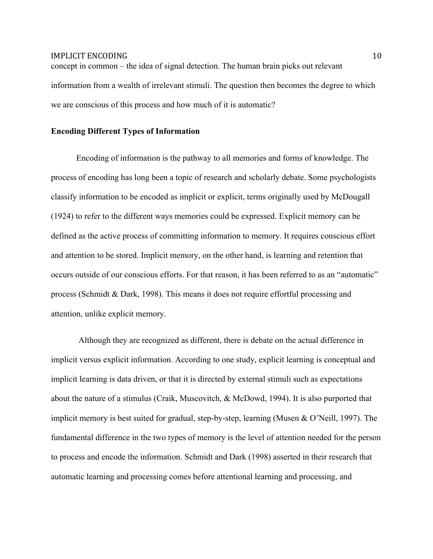concept in common – the idea of signal detection. The human brain picks out relevant information from a wealth of irrelevant stimuli. The question then becomes the degree to which we are conscious of this process and how much of it is automatic?

#### **Encoding Different Types of Information**

Encoding of information is the pathway to all memories and forms of knowledge. The process of encoding has long been a topic of research and scholarly debate. Some psychologists classify information to be encoded as implicit or explicit, terms originally used by McDougall (1924) to refer to the different ways memories could be expressed. Explicit memory can be defined as the active process of committing information to memory. It requires conscious effort and attention to be stored. Implicit memory, on the other hand, is learning and retention that occurs outside of our conscious efforts. For that reason, it has been referred to as an "automatic" process (Schmidt & Dark, 1998). This means it does not require effortful processing and attention, unlike explicit memory.

Although they are recognized as different, there is debate on the actual difference in implicit versus explicit information. According to one study, explicit learning is conceptual and implicit learning is data driven, or that it is directed by external stimuli such as expectations about the nature of a stimulus (Craik, Muscovitch, & McDowd, 1994). It is also purported that implicit memory is best suited for gradual, step-by-step, learning (Musen & O'Neill, 1997). The fundamental difference in the two types of memory is the level of attention needed for the person to process and encode the information. Schmidt and Dark (1998) asserted in their research that automatic learning and processing comes before attentional learning and processing, and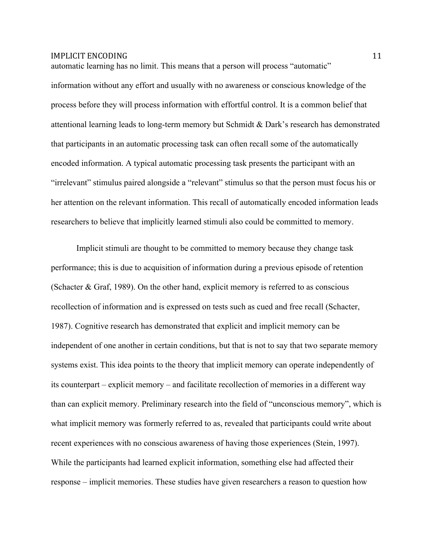information without any effort and usually with no awareness or conscious knowledge of the process before they will process information with effortful control. It is a common belief that attentional learning leads to long-term memory but Schmidt & Dark's research has demonstrated that participants in an automatic processing task can often recall some of the automatically encoded information. A typical automatic processing task presents the participant with an "irrelevant" stimulus paired alongside a "relevant" stimulus so that the person must focus his or her attention on the relevant information. This recall of automatically encoded information leads researchers to believe that implicitly learned stimuli also could be committed to memory.

automatic learning has no limit. This means that a person will process "automatic"

Implicit stimuli are thought to be committed to memory because they change task performance; this is due to acquisition of information during a previous episode of retention (Schacter & Graf, 1989). On the other hand, explicit memory is referred to as conscious recollection of information and is expressed on tests such as cued and free recall (Schacter, 1987). Cognitive research has demonstrated that explicit and implicit memory can be independent of one another in certain conditions, but that is not to say that two separate memory systems exist. This idea points to the theory that implicit memory can operate independently of its counterpart – explicit memory – and facilitate recollection of memories in a different way than can explicit memory. Preliminary research into the field of "unconscious memory", which is what implicit memory was formerly referred to as, revealed that participants could write about recent experiences with no conscious awareness of having those experiences (Stein, 1997). While the participants had learned explicit information, something else had affected their response – implicit memories. These studies have given researchers a reason to question how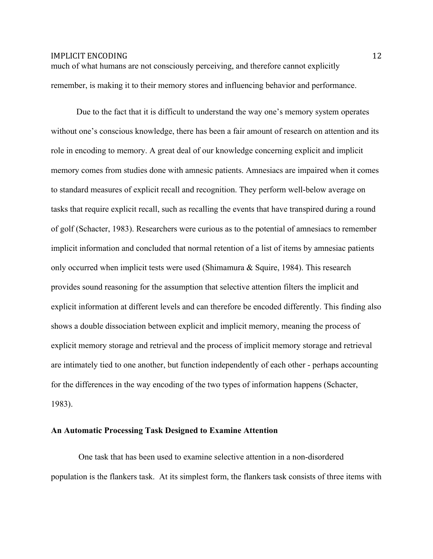much of what humans are not consciously perceiving, and therefore cannot explicitly remember, is making it to their memory stores and influencing behavior and performance.

Due to the fact that it is difficult to understand the way one's memory system operates without one's conscious knowledge, there has been a fair amount of research on attention and its role in encoding to memory. A great deal of our knowledge concerning explicit and implicit memory comes from studies done with amnesic patients. Amnesiacs are impaired when it comes to standard measures of explicit recall and recognition. They perform well-below average on tasks that require explicit recall, such as recalling the events that have transpired during a round of golf (Schacter, 1983). Researchers were curious as to the potential of amnesiacs to remember implicit information and concluded that normal retention of a list of items by amnesiac patients only occurred when implicit tests were used (Shimamura & Squire, 1984). This research provides sound reasoning for the assumption that selective attention filters the implicit and explicit information at different levels and can therefore be encoded differently. This finding also shows a double dissociation between explicit and implicit memory, meaning the process of explicit memory storage and retrieval and the process of implicit memory storage and retrieval are intimately tied to one another, but function independently of each other - perhaps accounting for the differences in the way encoding of the two types of information happens (Schacter, 1983).

#### **An Automatic Processing Task Designed to Examine Attention**

One task that has been used to examine selective attention in a non-disordered population is the flankers task. At its simplest form, the flankers task consists of three items with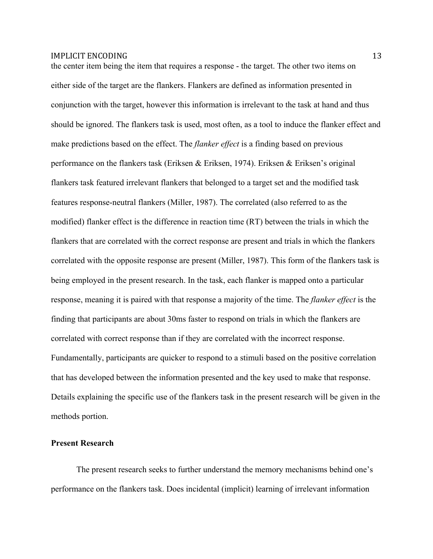the center item being the item that requires a response - the target. The other two items on either side of the target are the flankers. Flankers are defined as information presented in conjunction with the target, however this information is irrelevant to the task at hand and thus should be ignored. The flankers task is used, most often, as a tool to induce the flanker effect and make predictions based on the effect. The *flanker effect* is a finding based on previous performance on the flankers task (Eriksen & Eriksen, 1974). Eriksen & Eriksen's original flankers task featured irrelevant flankers that belonged to a target set and the modified task features response-neutral flankers (Miller, 1987). The correlated (also referred to as the modified) flanker effect is the difference in reaction time (RT) between the trials in which the flankers that are correlated with the correct response are present and trials in which the flankers correlated with the opposite response are present (Miller, 1987). This form of the flankers task is being employed in the present research. In the task, each flanker is mapped onto a particular response, meaning it is paired with that response a majority of the time. The *flanker effect* is the finding that participants are about 30ms faster to respond on trials in which the flankers are correlated with correct response than if they are correlated with the incorrect response. Fundamentally, participants are quicker to respond to a stimuli based on the positive correlation that has developed between the information presented and the key used to make that response. Details explaining the specific use of the flankers task in the present research will be given in the methods portion.

## **Present Research**

The present research seeks to further understand the memory mechanisms behind one's performance on the flankers task. Does incidental (implicit) learning of irrelevant information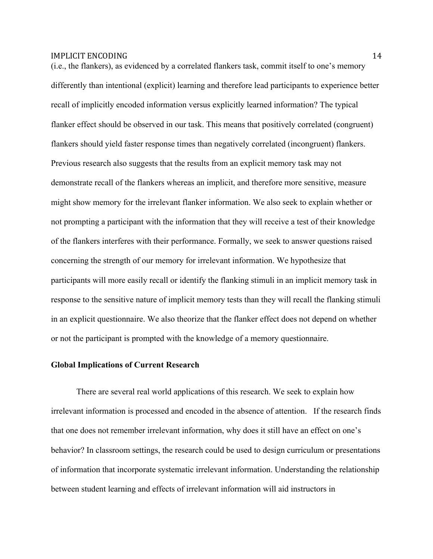(i.e., the flankers), as evidenced by a correlated flankers task, commit itself to one's memory differently than intentional (explicit) learning and therefore lead participants to experience better recall of implicitly encoded information versus explicitly learned information? The typical flanker effect should be observed in our task. This means that positively correlated (congruent) flankers should yield faster response times than negatively correlated (incongruent) flankers. Previous research also suggests that the results from an explicit memory task may not demonstrate recall of the flankers whereas an implicit, and therefore more sensitive, measure might show memory for the irrelevant flanker information. We also seek to explain whether or not prompting a participant with the information that they will receive a test of their knowledge of the flankers interferes with their performance. Formally, we seek to answer questions raised concerning the strength of our memory for irrelevant information. We hypothesize that participants will more easily recall or identify the flanking stimuli in an implicit memory task in response to the sensitive nature of implicit memory tests than they will recall the flanking stimuli in an explicit questionnaire. We also theorize that the flanker effect does not depend on whether or not the participant is prompted with the knowledge of a memory questionnaire.

### **Global Implications of Current Research**

There are several real world applications of this research. We seek to explain how irrelevant information is processed and encoded in the absence of attention. If the research finds that one does not remember irrelevant information, why does it still have an effect on one's behavior? In classroom settings, the research could be used to design curriculum or presentations of information that incorporate systematic irrelevant information. Understanding the relationship between student learning and effects of irrelevant information will aid instructors in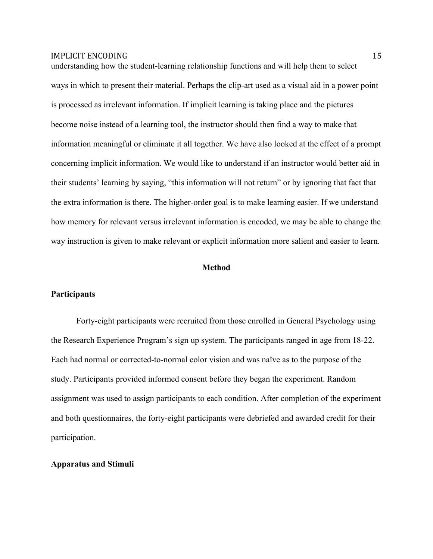understanding how the student-learning relationship functions and will help them to select ways in which to present their material. Perhaps the clip-art used as a visual aid in a power point is processed as irrelevant information. If implicit learning is taking place and the pictures become noise instead of a learning tool, the instructor should then find a way to make that information meaningful or eliminate it all together. We have also looked at the effect of a prompt concerning implicit information. We would like to understand if an instructor would better aid in their students' learning by saying, "this information will not return" or by ignoring that fact that the extra information is there. The higher-order goal is to make learning easier. If we understand how memory for relevant versus irrelevant information is encoded, we may be able to change the way instruction is given to make relevant or explicit information more salient and easier to learn.

## **Method**

#### **Participants**

Forty-eight participants were recruited from those enrolled in General Psychology using the Research Experience Program's sign up system. The participants ranged in age from 18-22. Each had normal or corrected-to-normal color vision and was naïve as to the purpose of the study. Participants provided informed consent before they began the experiment. Random assignment was used to assign participants to each condition. After completion of the experiment and both questionnaires, the forty-eight participants were debriefed and awarded credit for their participation.

#### **Apparatus and Stimuli**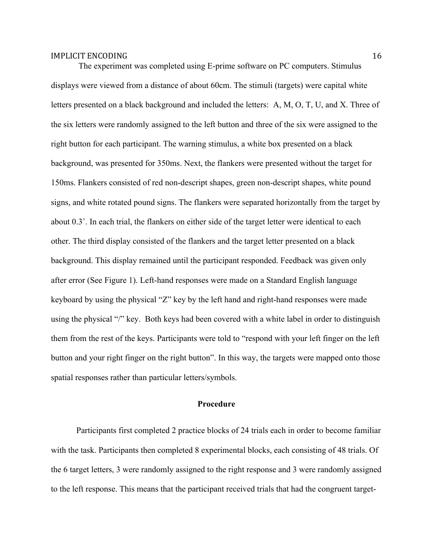The experiment was completed using E-prime software on PC computers. Stimulus displays were viewed from a distance of about 60cm. The stimuli (targets) were capital white letters presented on a black background and included the letters: A, M, O, T, U, and X. Three of the six letters were randomly assigned to the left button and three of the six were assigned to the right button for each participant. The warning stimulus, a white box presented on a black background, was presented for 350ms. Next, the flankers were presented without the target for 150ms. Flankers consisted of red non-descript shapes, green non-descript shapes, white pound signs, and white rotated pound signs. The flankers were separated horizontally from the target by about 0.3˚. In each trial, the flankers on either side of the target letter were identical to each other. The third display consisted of the flankers and the target letter presented on a black background. This display remained until the participant responded. Feedback was given only after error (See Figure 1). Left-hand responses were made on a Standard English language keyboard by using the physical "Z" key by the left hand and right-hand responses were made using the physical "/" key. Both keys had been covered with a white label in order to distinguish them from the rest of the keys. Participants were told to "respond with your left finger on the left button and your right finger on the right button". In this way, the targets were mapped onto those spatial responses rather than particular letters/symbols.

## **Procedure**

Participants first completed 2 practice blocks of 24 trials each in order to become familiar with the task. Participants then completed 8 experimental blocks, each consisting of 48 trials. Of the 6 target letters, 3 were randomly assigned to the right response and 3 were randomly assigned to the left response. This means that the participant received trials that had the congruent target-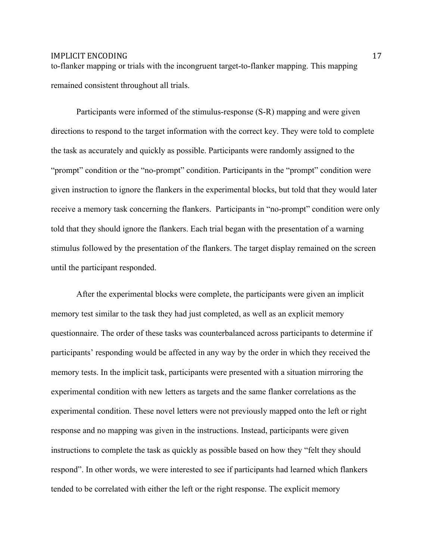to-flanker mapping or trials with the incongruent target-to-flanker mapping. This mapping remained consistent throughout all trials.

Participants were informed of the stimulus-response (S-R) mapping and were given directions to respond to the target information with the correct key. They were told to complete the task as accurately and quickly as possible. Participants were randomly assigned to the "prompt" condition or the "no-prompt" condition. Participants in the "prompt" condition were given instruction to ignore the flankers in the experimental blocks, but told that they would later receive a memory task concerning the flankers. Participants in "no-prompt" condition were only told that they should ignore the flankers. Each trial began with the presentation of a warning stimulus followed by the presentation of the flankers. The target display remained on the screen until the participant responded.

After the experimental blocks were complete, the participants were given an implicit memory test similar to the task they had just completed, as well as an explicit memory questionnaire. The order of these tasks was counterbalanced across participants to determine if participants' responding would be affected in any way by the order in which they received the memory tests. In the implicit task, participants were presented with a situation mirroring the experimental condition with new letters as targets and the same flanker correlations as the experimental condition. These novel letters were not previously mapped onto the left or right response and no mapping was given in the instructions. Instead, participants were given instructions to complete the task as quickly as possible based on how they "felt they should respond". In other words, we were interested to see if participants had learned which flankers tended to be correlated with either the left or the right response. The explicit memory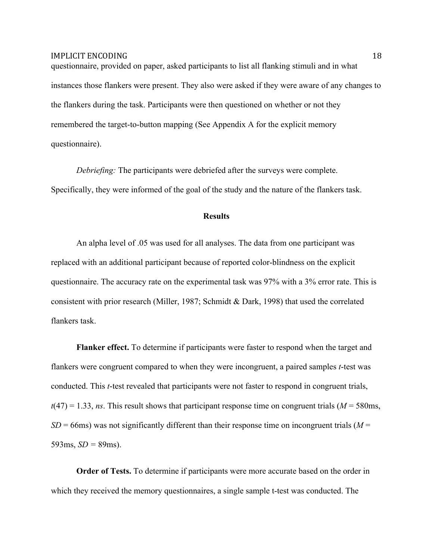questionnaire, provided on paper, asked participants to list all flanking stimuli and in what instances those flankers were present. They also were asked if they were aware of any changes to the flankers during the task. Participants were then questioned on whether or not they remembered the target-to-button mapping (See Appendix A for the explicit memory questionnaire).

*Debriefing:* The participants were debriefed after the surveys were complete. Specifically, they were informed of the goal of the study and the nature of the flankers task.

#### **Results**

An alpha level of .05 was used for all analyses. The data from one participant was replaced with an additional participant because of reported color-blindness on the explicit questionnaire. The accuracy rate on the experimental task was 97% with a 3% error rate. This is consistent with prior research (Miller, 1987; Schmidt & Dark, 1998) that used the correlated flankers task.

**Flanker effect.** To determine if participants were faster to respond when the target and flankers were congruent compared to when they were incongruent, a paired samples *t*-test was conducted. This *t*-test revealed that participants were not faster to respond in congruent trials,  $t(47) = 1.33$ , *ns*. This result shows that participant response time on congruent trials ( $M = 580$ ms,  $SD = 66$ ms) was not significantly different than their response time on incongruent trials ( $M =$ 593ms,  $SD = 89$ ms).

**Order of Tests.** To determine if participants were more accurate based on the order in which they received the memory questionnaires, a single sample t-test was conducted. The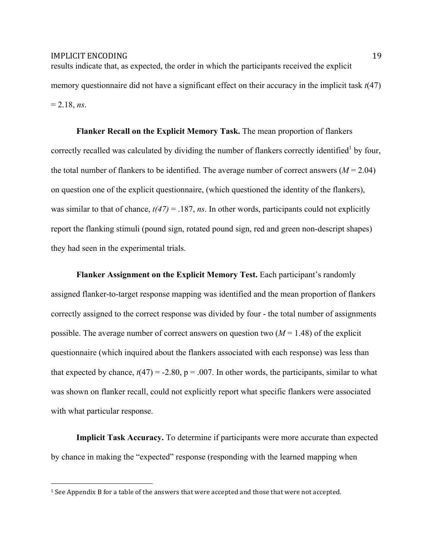results indicate that, as expected, the order in which the participants received the explicit memory questionnaire did not have a significant effect on their accuracy in the implicit task *t*(47)  $= 2.18$ , *ns*.

**Flanker Recall on the Explicit Memory Task.** The mean proportion of flankers correctly recalled was calculated by dividing the number of flankers correctly identified<sup>1</sup> by four, the total number of flankers to be identified. The average number of correct answers (*M* = 2.04) on question one of the explicit questionnaire, (which questioned the identity of the flankers), was similar to that of chance,  $t(47) = 0.187$ , *ns*. In other words, participants could not explicitly report the flanking stimuli (pound sign, rotated pound sign, red and green non-descript shapes) they had seen in the experimental trials.

**Flanker Assignment on the Explicit Memory Test.** Each participant's randomly assigned flanker-to-target response mapping was identified and the mean proportion of flankers correctly assigned to the correct response was divided by four - the total number of assignments possible. The average number of correct answers on question two  $(M = 1.48)$  of the explicit questionnaire (which inquired about the flankers associated with each response) was less than that expected by chance,  $t(47) = -2.80$ ,  $p = .007$ . In other words, the participants, similar to what was shown on flanker recall, could not explicitly report what specific flankers were associated with what particular response.

**Implicit Task Accuracy.** To determine if participants were more accurate than expected by chance in making the "expected" response (responding with the learned mapping when

&&&&&&&&&&&&&&&&&&&&&&&&&&&&&&&&&&&&&&&&&&&&&&&&&&&&&&&

 $1$  See Appendix B for a table of the answers that were accepted and those that were not accepted.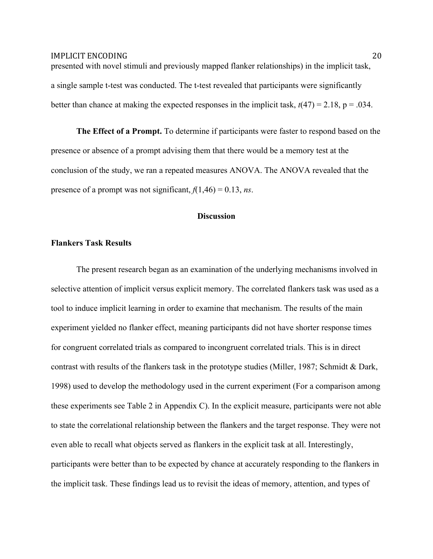presented with novel stimuli and previously mapped flanker relationships) in the implicit task, a single sample t-test was conducted. The t-test revealed that participants were significantly better than chance at making the expected responses in the implicit task,  $t(47) = 2.18$ ,  $p = .034$ .

**The Effect of a Prompt.** To determine if participants were faster to respond based on the presence or absence of a prompt advising them that there would be a memory test at the conclusion of the study, we ran a repeated measures ANOVA. The ANOVA revealed that the presence of a prompt was not significant,  $f(1,46) = 0.13$ , *ns*.

#### **Discussion**

#### **Flankers Task Results**

The present research began as an examination of the underlying mechanisms involved in selective attention of implicit versus explicit memory. The correlated flankers task was used as a tool to induce implicit learning in order to examine that mechanism. The results of the main experiment yielded no flanker effect, meaning participants did not have shorter response times for congruent correlated trials as compared to incongruent correlated trials. This is in direct contrast with results of the flankers task in the prototype studies (Miller, 1987; Schmidt & Dark, 1998) used to develop the methodology used in the current experiment (For a comparison among these experiments see Table 2 in Appendix C). In the explicit measure, participants were not able to state the correlational relationship between the flankers and the target response. They were not even able to recall what objects served as flankers in the explicit task at all. Interestingly, participants were better than to be expected by chance at accurately responding to the flankers in the implicit task. These findings lead us to revisit the ideas of memory, attention, and types of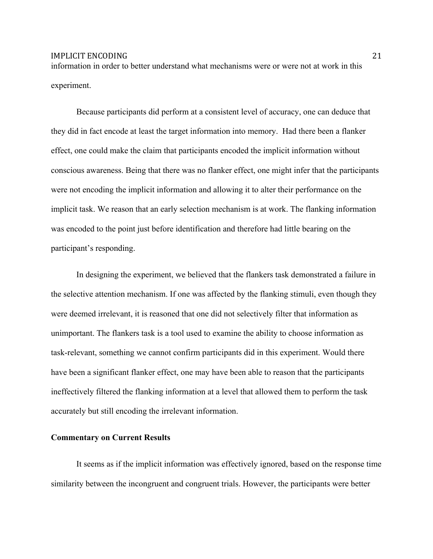information in order to better understand what mechanisms were or were not at work in this experiment.

Because participants did perform at a consistent level of accuracy, one can deduce that they did in fact encode at least the target information into memory. Had there been a flanker effect, one could make the claim that participants encoded the implicit information without conscious awareness. Being that there was no flanker effect, one might infer that the participants were not encoding the implicit information and allowing it to alter their performance on the implicit task. We reason that an early selection mechanism is at work. The flanking information was encoded to the point just before identification and therefore had little bearing on the participant's responding.

In designing the experiment, we believed that the flankers task demonstrated a failure in the selective attention mechanism. If one was affected by the flanking stimuli, even though they were deemed irrelevant, it is reasoned that one did not selectively filter that information as unimportant. The flankers task is a tool used to examine the ability to choose information as task-relevant, something we cannot confirm participants did in this experiment. Would there have been a significant flanker effect, one may have been able to reason that the participants ineffectively filtered the flanking information at a level that allowed them to perform the task accurately but still encoding the irrelevant information.

#### **Commentary on Current Results**

It seems as if the implicit information was effectively ignored, based on the response time similarity between the incongruent and congruent trials. However, the participants were better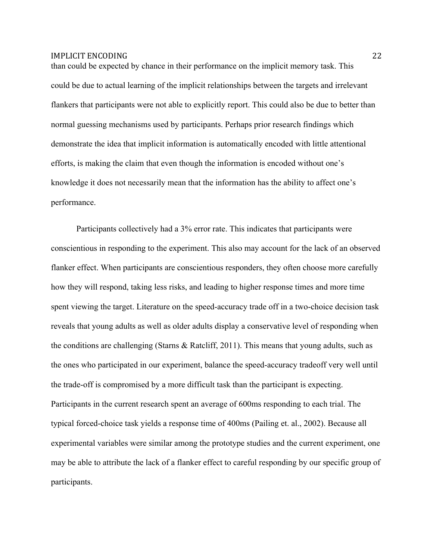than could be expected by chance in their performance on the implicit memory task. This could be due to actual learning of the implicit relationships between the targets and irrelevant flankers that participants were not able to explicitly report. This could also be due to better than normal guessing mechanisms used by participants. Perhaps prior research findings which demonstrate the idea that implicit information is automatically encoded with little attentional efforts, is making the claim that even though the information is encoded without one's knowledge it does not necessarily mean that the information has the ability to affect one's performance.

Participants collectively had a 3% error rate. This indicates that participants were conscientious in responding to the experiment. This also may account for the lack of an observed flanker effect. When participants are conscientious responders, they often choose more carefully how they will respond, taking less risks, and leading to higher response times and more time spent viewing the target. Literature on the speed-accuracy trade off in a two-choice decision task reveals that young adults as well as older adults display a conservative level of responding when the conditions are challenging (Starns & Ratcliff, 2011). This means that young adults, such as the ones who participated in our experiment, balance the speed-accuracy tradeoff very well until the trade-off is compromised by a more difficult task than the participant is expecting. Participants in the current research spent an average of 600ms responding to each trial. The typical forced-choice task yields a response time of 400ms (Pailing et. al., 2002). Because all experimental variables were similar among the prototype studies and the current experiment, one may be able to attribute the lack of a flanker effect to careful responding by our specific group of participants.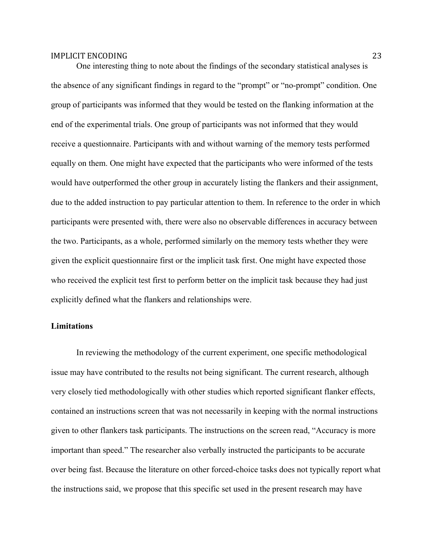One interesting thing to note about the findings of the secondary statistical analyses is the absence of any significant findings in regard to the "prompt" or "no-prompt" condition. One group of participants was informed that they would be tested on the flanking information at the end of the experimental trials. One group of participants was not informed that they would receive a questionnaire. Participants with and without warning of the memory tests performed equally on them. One might have expected that the participants who were informed of the tests would have outperformed the other group in accurately listing the flankers and their assignment, due to the added instruction to pay particular attention to them. In reference to the order in which participants were presented with, there were also no observable differences in accuracy between the two. Participants, as a whole, performed similarly on the memory tests whether they were given the explicit questionnaire first or the implicit task first. One might have expected those who received the explicit test first to perform better on the implicit task because they had just explicitly defined what the flankers and relationships were.

## **Limitations**

In reviewing the methodology of the current experiment, one specific methodological issue may have contributed to the results not being significant. The current research, although very closely tied methodologically with other studies which reported significant flanker effects, contained an instructions screen that was not necessarily in keeping with the normal instructions given to other flankers task participants. The instructions on the screen read, "Accuracy is more important than speed." The researcher also verbally instructed the participants to be accurate over being fast. Because the literature on other forced-choice tasks does not typically report what the instructions said, we propose that this specific set used in the present research may have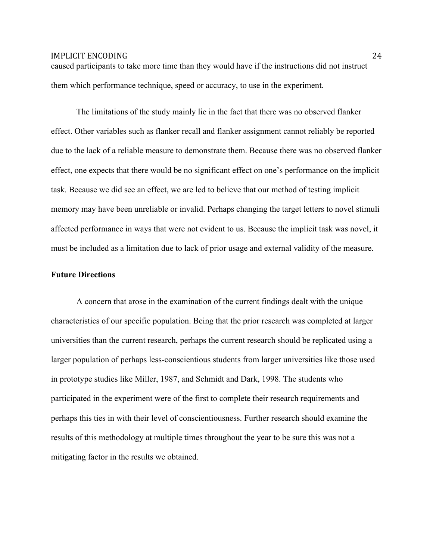caused participants to take more time than they would have if the instructions did not instruct them which performance technique, speed or accuracy, to use in the experiment.

The limitations of the study mainly lie in the fact that there was no observed flanker effect. Other variables such as flanker recall and flanker assignment cannot reliably be reported due to the lack of a reliable measure to demonstrate them. Because there was no observed flanker effect, one expects that there would be no significant effect on one's performance on the implicit task. Because we did see an effect, we are led to believe that our method of testing implicit memory may have been unreliable or invalid. Perhaps changing the target letters to novel stimuli affected performance in ways that were not evident to us. Because the implicit task was novel, it must be included as a limitation due to lack of prior usage and external validity of the measure.

#### **Future Directions**

A concern that arose in the examination of the current findings dealt with the unique characteristics of our specific population. Being that the prior research was completed at larger universities than the current research, perhaps the current research should be replicated using a larger population of perhaps less-conscientious students from larger universities like those used in prototype studies like Miller, 1987, and Schmidt and Dark, 1998. The students who participated in the experiment were of the first to complete their research requirements and perhaps this ties in with their level of conscientiousness. Further research should examine the results of this methodology at multiple times throughout the year to be sure this was not a mitigating factor in the results we obtained.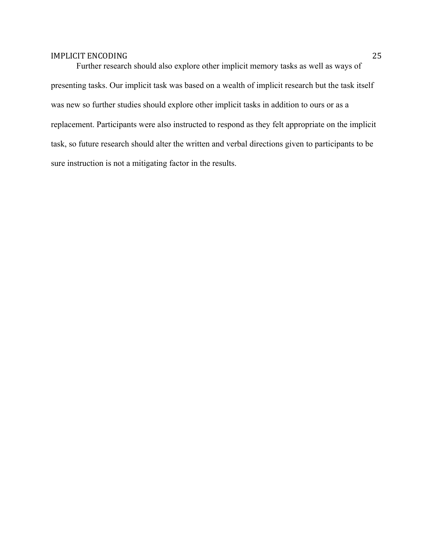Further research should also explore other implicit memory tasks as well as ways of presenting tasks. Our implicit task was based on a wealth of implicit research but the task itself was new so further studies should explore other implicit tasks in addition to ours or as a replacement. Participants were also instructed to respond as they felt appropriate on the implicit task, so future research should alter the written and verbal directions given to participants to be sure instruction is not a mitigating factor in the results.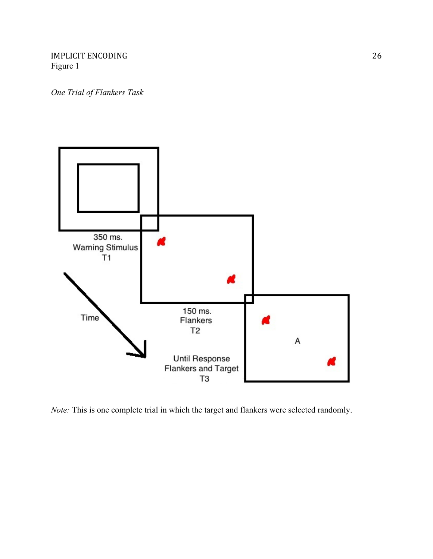IMPLICIT ENCODING 26 Figure 1

*One Trial of Flankers Task*



*Note:* This is one complete trial in which the target and flankers were selected randomly.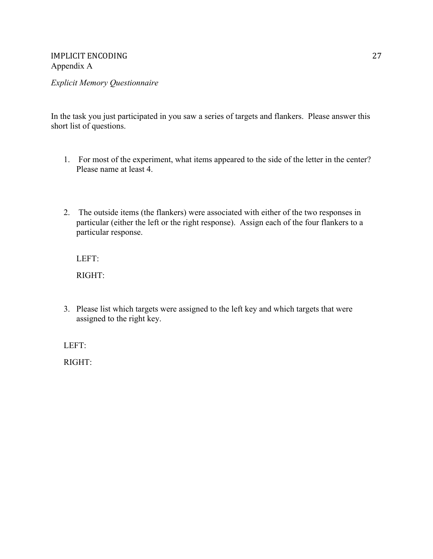*Explicit Memory Questionnaire*

In the task you just participated in you saw a series of targets and flankers. Please answer this short list of questions.

- 1. For most of the experiment, what items appeared to the side of the letter in the center? Please name at least 4.
- 2. The outside items (the flankers) were associated with either of the two responses in particular (either the left or the right response). Assign each of the four flankers to a particular response.

LEFT:

RIGHT:

3. Please list which targets were assigned to the left key and which targets that were assigned to the right key.

LEFT:

RIGHT: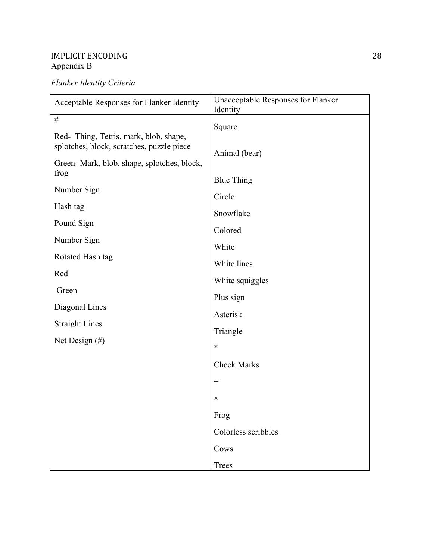## IMPLICIT ENCODING 28 Appendix B

# *Flanker Identity Criteria*

| Acceptable Responses for Flanker Identity                                          | Unacceptable Responses for Flanker<br>Identity |  |
|------------------------------------------------------------------------------------|------------------------------------------------|--|
| $\#$                                                                               | Square                                         |  |
| Red-Thing, Tetris, mark, blob, shape,<br>splotches, block, scratches, puzzle piece | Animal (bear)<br><b>Blue Thing</b>             |  |
| Green-Mark, blob, shape, splotches, block,<br>frog                                 |                                                |  |
| Number Sign                                                                        | Circle                                         |  |
| Hash tag                                                                           | Snowflake                                      |  |
| Pound Sign                                                                         | Colored                                        |  |
| Number Sign                                                                        | White                                          |  |
| Rotated Hash tag                                                                   | White lines                                    |  |
| Red                                                                                | White squiggles                                |  |
| Green                                                                              | Plus sign                                      |  |
| Diagonal Lines                                                                     | Asterisk                                       |  |
| <b>Straight Lines</b><br>Net Design $(\#)$                                         | Triangle                                       |  |
|                                                                                    | *                                              |  |
|                                                                                    | <b>Check Marks</b>                             |  |
|                                                                                    | $^{+}$                                         |  |
|                                                                                    | ×                                              |  |
|                                                                                    | Frog                                           |  |
|                                                                                    | Colorless scribbles                            |  |
|                                                                                    | Cows                                           |  |
|                                                                                    | Trees                                          |  |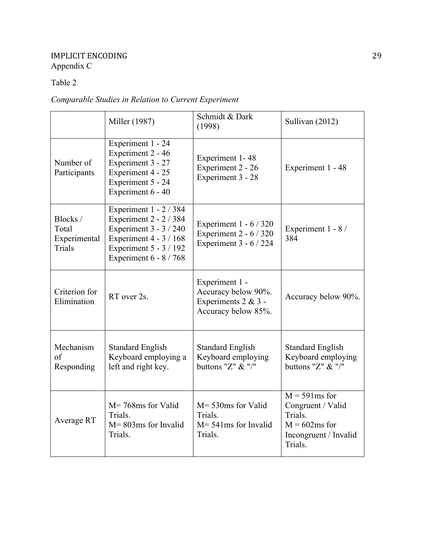## IMPLICIT ENCODING 29 Appendix C

## Table 2

# *Comparable Studies in Relation to Current Experiment*

|                                             | Miller (1987)                                                                                                                                            | Schmidt & Dark<br>(1998)                                                            | Sullivan (2012)                                                                                        |
|---------------------------------------------|----------------------------------------------------------------------------------------------------------------------------------------------------------|-------------------------------------------------------------------------------------|--------------------------------------------------------------------------------------------------------|
| Number of<br>Participants                   | Experiment 1 - 24<br>Experiment 2 - 46<br>Experiment 3 - 27<br>Experiment 4 - 25<br>Experiment 5 - 24<br>Experiment 6 - 40                               | Experiment 1-48<br>Experiment 2 - 26<br>Experiment 3 - 28                           | Experiment 1 - 48                                                                                      |
| Blocks /<br>Total<br>Experimental<br>Trials | Experiment 1 - 2 / 384<br>Experiment 2 - 2 / 384<br>Experiment 3 - 3 / 240<br>Experiment 4 - 3 / 168<br>Experiment 5 - 3 / 192<br>Experiment 6 - 8 / 768 | Experiment $1 - 6 / 320$<br>Experiment 2 - 6 / 320<br>Experiment 3 - 6 / 224        | Experiment 1 - 8 /<br>384                                                                              |
| Criterion for<br>Elimination                | RT over 2s.                                                                                                                                              | Experiment 1 -<br>Accuracy below 90%.<br>Experiments 2 & 3 -<br>Accuracy below 85%. | Accuracy below 90%.                                                                                    |
| Mechanism<br>of<br>Responding               | <b>Standard English</b><br>Keyboard employing a<br>left and right key.                                                                                   | <b>Standard English</b><br>Keyboard employing<br>buttons "Z" $&$ "/"                | <b>Standard English</b><br>Keyboard employing<br>buttons "Z" $&$ "/"                                   |
| Average RT                                  | $M = 768$ ms for Valid<br>Trials.<br>$M = 803$ ms for Invalid<br>Trials.                                                                                 | $M = 530$ ms for Valid<br>Trials.<br>$M = 541$ ms for Invalid<br>Trials.            | $M = 591ms$ for<br>Congruent / Valid<br>Trials.<br>$M = 602ms$ for<br>Incongruent / Invalid<br>Trials. |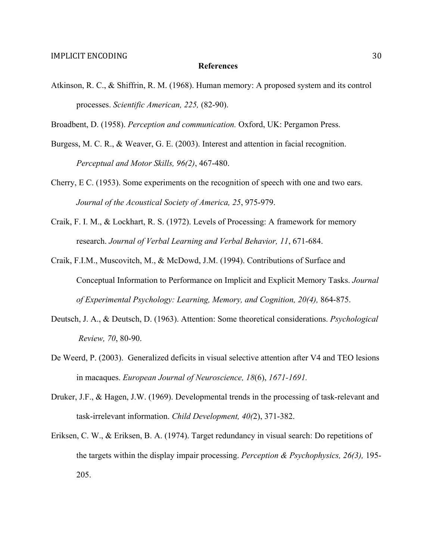#### **References**

- Atkinson, R. C., & Shiffrin, R. M. (1968). Human memory: A proposed system and its control processes. *Scientific American, 225,* (82-90).
- Broadbent, D. (1958). *Perception and communication.* Oxford, UK: Pergamon Press.
- Burgess, M. C. R., & Weaver, G. E. (2003). Interest and attention in facial recognition. *Perceptual and Motor Skills, 96(2)*, 467-480.
- Cherry, E C. (1953). Some experiments on the recognition of speech with one and two ears. *Journal of the Acoustical Society of America, 25*, 975-979.
- Craik, F. I. M., & Lockhart, R. S. (1972). Levels of Processing: A framework for memory research. *Journal of Verbal Learning and Verbal Behavior, 11*, 671-684.
- Craik, F.I.M., Muscovitch, M., & McDowd, J.M. (1994). Contributions of Surface and Conceptual Information to Performance on Implicit and Explicit Memory Tasks. *Journal of Experimental Psychology: Learning, Memory, and Cognition, 20(4),* 864-875.
- Deutsch, J. A., & Deutsch, D. (1963). Attention: Some theoretical considerations. *Psychological Review, 70*, 80-90.
- De Weerd, P. (2003). Generalized deficits in visual selective attention after V4 and TEO lesions in macaques. *European Journal of Neuroscience, 18*(6), *1671-1691.*
- Druker, J.F., & Hagen, J.W. (1969). Developmental trends in the processing of task-relevant and task-irrelevant information. *Child Development, 40(*2), 371-382.
- Eriksen, C. W., & Eriksen, B. A. (1974). Target redundancy in visual search: Do repetitions of the targets within the display impair processing. *Perception & Psychophysics, 26(3),* 195- 205.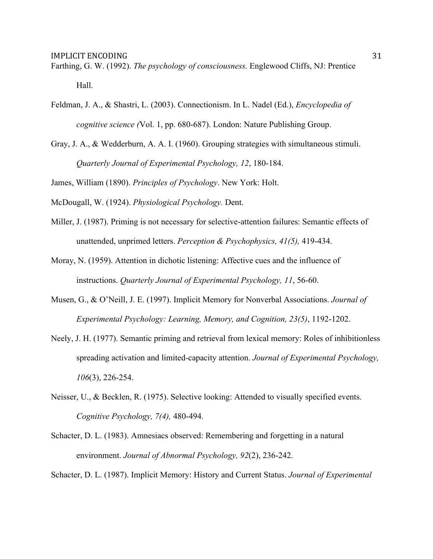- Farthing, G. W. (1992). *The psychology of consciousness.* Englewood Cliffs, NJ: Prentice Hall.
- Feldman, J. A., & Shastri, L. (2003). Connectionism. In L. Nadel (Ed.), *Encyclopedia of cognitive science (*Vol. 1, pp. 680-687). London: Nature Publishing Group.
- Gray, J. A., & Wedderburn, A. A. I. (1960). Grouping strategies with simultaneous stimuli. *Quarterly Journal of Experimental Psychology, 12*, 180-184.

James, William (1890). *Principles of Psychology*. New York: Holt.

McDougall, W. (1924). *Physiological Psychology.* Dent.

- Miller, J. (1987). Priming is not necessary for selective-attention failures: Semantic effects of unattended, unprimed letters. *Perception & Psychophysics, 41(5),* 419-434.
- Moray, N. (1959). Attention in dichotic listening: Affective cues and the influence of instructions. *Quarterly Journal of Experimental Psychology, 11*, 56-60.
- Musen, G., & O'Neill, J. E. (1997). Implicit Memory for Nonverbal Associations. *Journal of Experimental Psychology: Learning, Memory, and Cognition, 23(5)*, 1192-1202.
- Neely, J. H. (1977). Semantic priming and retrieval from lexical memory: Roles of inhibitionless spreading activation and limited-capacity attention. *Journal of Experimental Psychology, 106*(3), 226-254.
- Neisser, U., & Becklen, R. (1975). Selective looking: Attended to visually specified events. *Cognitive Psychology, 7(4),* 480-494.
- Schacter, D. L. (1983). Amnesiacs observed: Remembering and forgetting in a natural environment. *Journal of Abnormal Psychology, 92*(2), 236-242.

Schacter, D. L. (1987). Implicit Memory: History and Current Status. *Journal of Experimental*